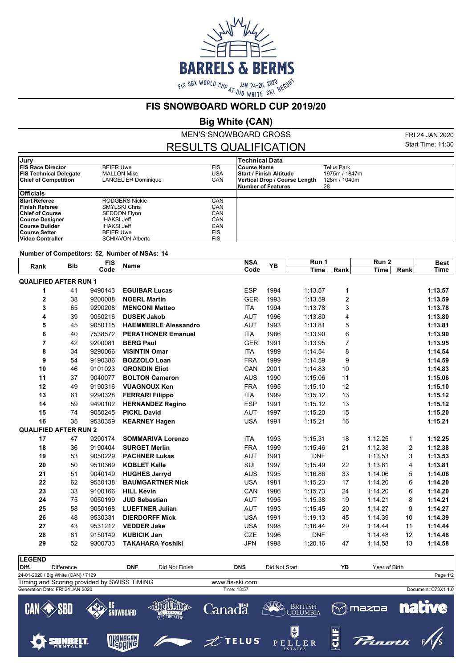

**FIS SNOWBOARD WORLD CUP 2019/20**

**Big White (CAN)**

MEN'S SNOWBOARD CROSS

FRI 24 JAN 2020 Start Time: 11:30

## RESULTS QUALIFICATION

| Jury                          |                         |            | <b>Technical Data</b>         |               |
|-------------------------------|-------------------------|------------|-------------------------------|---------------|
| <b>FIS Race Director</b>      | <b>BEIER Uwe</b>        | <b>FIS</b> | Course Name                   | Telus Park    |
| <b>FIS Technical Delegate</b> | <b>MALLON Mike</b>      | USA        | l Start / Finish Altitude     | 1975m / 1847m |
| <b>Chief of Competition</b>   | LANGELIER Dominique     | CAN        | Vertical Drop / Course Length | 128m / 1040m  |
|                               |                         |            | <b>Number of Features</b>     | 28            |
| <b>Officials</b>              |                         |            |                               |               |
| <b>Start Referee</b>          | RODGERS Nickie          | CAN        |                               |               |
| Finish Referee                | <b>SMYLSKI Chris</b>    | CAN        |                               |               |
| <b>Chief of Course</b>        | <b>SEDDON Flynn</b>     | CAN        |                               |               |
| <b>Course Designer</b>        | <b>IHAKSI Jeff</b>      | CAN        |                               |               |
| ∣Course Builder               | <b>IHAKSI Jeff</b>      | CAN        |                               |               |
| ∣Course Setter                | <b>BEIER Uwe</b>        | <b>FIS</b> |                               |               |
| ∣ Video Controller            | <b>SCHIAVON Alberto</b> | <b>FIS</b> |                               |               |

## **Number of Competitors: 52, Number of NSAs: 14**

| Rank                         | <b>Bib</b> | <b>FIS</b><br>Code | <b>Name</b>                 | <b>NSA</b> | YB   | Run 1       |                | Run 2       |      | <b>Best</b> |
|------------------------------|------------|--------------------|-----------------------------|------------|------|-------------|----------------|-------------|------|-------------|
|                              |            |                    |                             | Code       |      | <b>Time</b> | Rank           | <b>Time</b> | Rank | <b>Time</b> |
| <b>QUALIFIED AFTER RUN 1</b> |            |                    |                             |            |      |             |                |             |      |             |
| 1                            | 41         | 9490143            | <b>EGUIBAR Lucas</b>        | <b>ESP</b> | 1994 | 1:13.57     | 1              |             |      | 1:13.57     |
| 2                            | 38         | 9200088            | <b>NOERL Martin</b>         | <b>GER</b> | 1993 | 1:13.59     | 2              |             |      | 1:13.59     |
| 3                            | 65         | 9290208            | <b>MENCONI Matteo</b>       | <b>ITA</b> | 1994 | 1:13.78     | 3              |             |      | 1:13.78     |
| 4                            | 39         | 9050216            | <b>DUSEK Jakob</b>          | <b>AUT</b> | 1996 | 1:13.80     | 4              |             |      | 1:13.80     |
| 5                            | 45         | 9050115            | <b>HAEMMERLE Alessandro</b> | <b>AUT</b> | 1993 | 1:13.81     | 5              |             |      | 1:13.81     |
| 6                            | 40         | 7538572            | <b>PERATHONER Emanuel</b>   | <b>ITA</b> | 1986 | 1:13.90     | 6              |             |      | 1:13.90     |
| 7                            | 42         | 9200081            | <b>BERG Paul</b>            | <b>GER</b> | 1991 | 1:13.95     | $\overline{7}$ |             |      | 1:13.95     |
| 8                            | 34         | 9290066            | <b>VISINTIN Omar</b>        | <b>ITA</b> | 1989 | 1:14.54     | 8              |             |      | 1:14.54     |
| 9                            | 54         | 9190386            | <b>BOZZOLO Loan</b>         | <b>FRA</b> | 1999 | 1:14.59     | 9              |             |      | 1:14.59     |
| 10                           | 46         | 9101023            | <b>GRONDIN Eliot</b>        | CAN        | 2001 | 1:14.83     | 10             |             |      | 1:14.83     |
| 11                           | 37         | 9040077            | <b>BOLTON Cameron</b>       | <b>AUS</b> | 1990 | 1:15.06     | 11             |             |      | 1:15.06     |
| 12                           | 49         | 9190316            | <b>VUAGNOUX Ken</b>         | <b>FRA</b> | 1995 | 1:15.10     | 12             |             |      | 1:15.10     |
| 13                           | 61         | 9290328            | <b>FERRARI Filippo</b>      | <b>ITA</b> | 1999 | 1:15.12     | 13             |             |      | 1:15.12     |
| 14                           | 59         | 9490102            | <b>HERNANDEZ Regino</b>     | <b>ESP</b> | 1991 | 1:15.12     | 13             |             |      | 1:15.12     |
| 15                           | 74         | 9050245            | <b>PICKL David</b>          | <b>AUT</b> | 1997 | 1:15.20     | 15             |             |      | 1:15.20     |
| 16                           | 35         | 9530359            | <b>KEARNEY Hagen</b>        | <b>USA</b> | 1991 | 1:15.21     | 16             |             |      | 1:15.21     |
| <b>QUALIFIED AFTER RUN 2</b> |            |                    |                             |            |      |             |                |             |      |             |
| 17                           | 47         | 9290174            | <b>SOMMARIVA Lorenzo</b>    | <b>ITA</b> | 1993 | 1:15.31     | 18             | 1:12.25     | 1    | 1:12.25     |
| 18                           | 36         | 9190404            | <b>SURGET Merlin</b>        | <b>FRA</b> | 1999 | 1:15.46     | 21             | 1:12.38     | 2    | 1:12.38     |
| 19                           | 53         | 9050229            | <b>PACHNER Lukas</b>        | <b>AUT</b> | 1991 | <b>DNF</b>  |                | 1:13.53     | 3    | 1:13.53     |
| 20                           | 50         | 9510369            | <b>KOBLET Kalle</b>         | <b>SUI</b> | 1997 | 1:15.49     | 22             | 1:13.81     | 4    | 1:13.81     |
| 21                           | 51         | 9040149            | <b>HUGHES Jarryd</b>        | <b>AUS</b> | 1995 | 1:16.86     | 33             | 1:14.06     | 5    | 1:14.06     |
| 22                           | 62         | 9530138            | <b>BAUMGARTNER Nick</b>     | <b>USA</b> | 1981 | 1:15.23     | 17             | 1:14.20     | 6    | 1:14.20     |
| 23                           | 33         | 9100166            | <b>HILL Kevin</b>           | CAN        | 1986 | 1:15.73     | 24             | 1:14.20     | 6    | 1:14.20     |
| 24                           | 75         | 9050199            | <b>JUD Sebastian</b>        | <b>AUT</b> | 1995 | 1:15.38     | 19             | 1:14.21     | 8    | 1:14.21     |
| 25                           | 58         | 9050168            | <b>LUEFTNER Julian</b>      | <b>AUT</b> | 1993 | 1:15.45     | 20             | 1:14.27     | 9    | 1:14.27     |
| 26                           | 48         | 9530331            | <b>DIERDORFF Mick</b>       | <b>USA</b> | 1991 | 1:19.13     | 45             | 1:14.39     | 10   | 1:14.39     |
| 27                           | 43         | 9531212            | <b>VEDDER Jake</b>          | <b>USA</b> | 1998 | 1:16.44     | 29             | 1:14.44     | 11   | 1:14.44     |
| 28                           | 81         | 9150149            | <b>KUBICIK Jan</b>          | <b>CZE</b> | 1996 | <b>DNF</b>  |                | 1:14.48     | 12   | 1:14.48     |
| 29                           | 52         | 9300733            | <b>TAKAHARA Yoshiki</b>     | <b>JPN</b> | 1998 | 1:20.16     | 47             | 1:14.58     | 13   | 1:14.58     |
|                              |            |                    |                             |            |      |             |                |             |      |             |